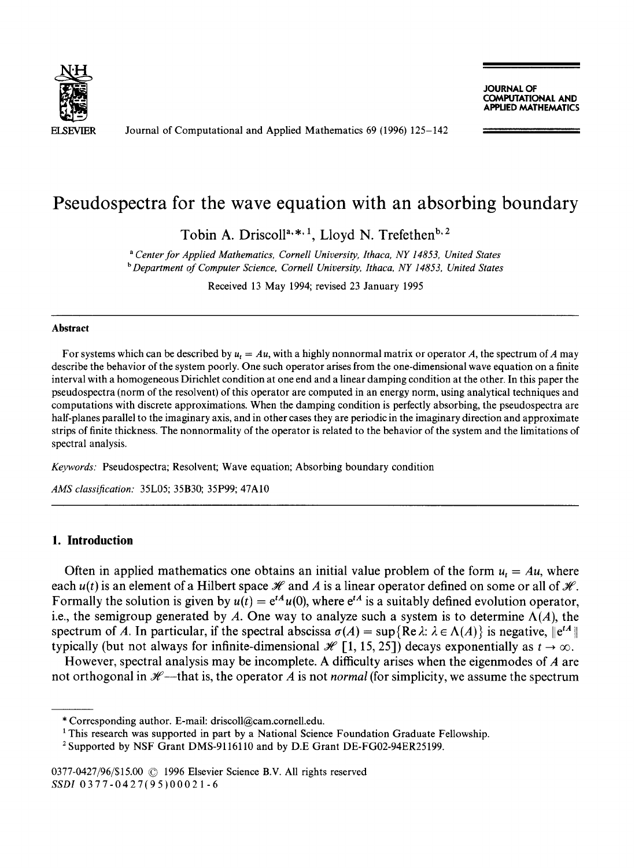

Journal of Computational and Applied Mathematics 69 (1996) 125-142

**COMPUTATIONAL AND APPUED MATHEMATICS** 

# **Pseudospectra for the wave equation with an absorbing boundary**

Tobin A. Driscoll<sup>a, \*, 1</sup>, Lloyd N. Trefethen<sup>b, 2</sup>

*a Center for Applied Mathematics, Cornell University, Ithaca, NY 14853, United States b Department of Computer Science, Cornell University, Ithaca, NY 14853, United States* 

Received 13 May 1994; revised 23 January 1995

#### **Abstract**

For systems which can be described by  $u_t = Au$ , with a highly nonnormal matrix or operator A, the spectrum of A may describe the behavior of the system poorly. One such operator arises from the one-dimensional wave equation on a finite interval with a homogeneous Dirichlet condition at one end and a linear damping condition at the other. In this paper the pseudospectra (norm of the resolvent) of this operator are computed in an energy norm, using analytical techniques and computations with discrete approximations. When the damping condition is perfectly absorbing, the pseudospectra are half-planes parallel to the imaginary axis, and in other cases they are periodic in the imaginary direction and approximate strips of finite thickness. The nonnormality of the operator is related to the behavior of the system and the limitations of spectral analysis.

*Keywords:* Pseudospectra; Resolvent; Wave equation; Absorbing boundary condition

*AMS classification:* 35L05; 35B30; 35P99; 47A10

## **I. Introduction**

Often in applied mathematics one obtains an initial value problem of the form  $u_t = Au$ , where each  $u(t)$  is an element of a Hilbert space  $\mathcal H$  and A is a linear operator defined on some or all of  $\mathcal H$ . Formally the solution is given by  $u(t) = e^{tA}u(0)$ , where  $e^{tA}$  is a suitably defined evolution operator, i.e., the semigroup generated by A. One way to analyze such a system is to determine  $\Lambda(A)$ , the spectrum of A. In particular, if the spectral abscissa  $\sigma(A) = \sup \{ \text{Re } \lambda : \lambda \in \Lambda(A) \}$  is negative,  $\|e^{tA}\|$ typically (but not always for infinite-dimensional  $\mathcal{H}$  [1, 15, 25]) decays exponentially as  $t \to \infty$ .

However, spectral analysis may be incomplete. A difficulty arises when the eigenmodes of  $\vec{A}$  are not orthogonal in  $H$ —that is, the operator A is not *normal* (for simplicity, we assume the spectrum

<sup>\*</sup> Corresponding author. E-mail: driscoll@cam.cornell.edu.

<sup>&</sup>lt;sup>1</sup> This research was supported in part by a National Science Foundation Graduate Fellowship.

<sup>&</sup>lt;sup>2</sup> Supported by NSF Grant DMS-9116110 and by D.E Grant DE-FG02-94ER25199.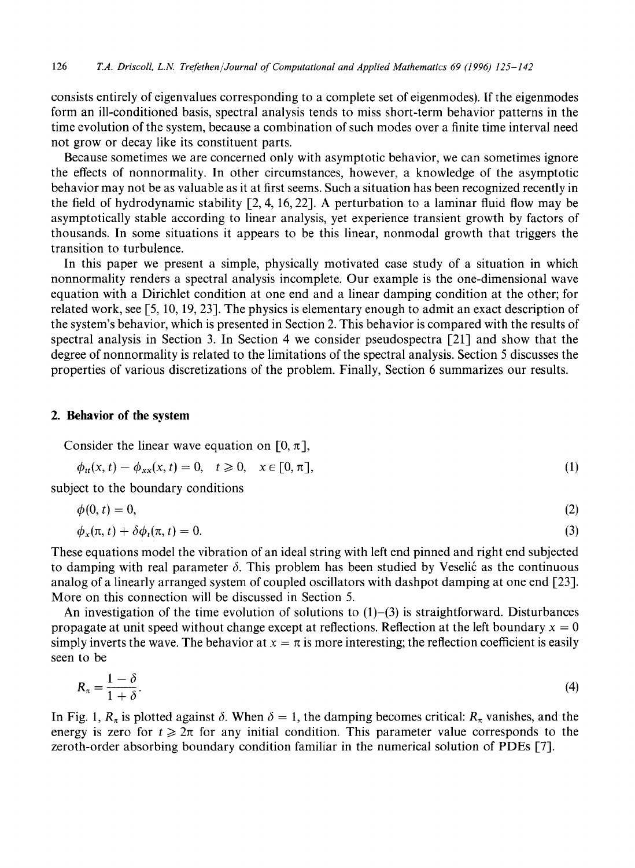consists entirely of eigenvalues corresponding to a complete set of eigenmodes). If the eigenmodes form an ill-conditioned basis, spectral analysis tends to miss short-term behavior patterns in the time evolution of the system, because a combination of such modes over a finite time interval need not grow or decay like its constituent parts.

Because sometimes we are concerned only with asymptotic behavior, we can sometimes ignore the effects of nonnormality. In other circumstances, however, a knowledge of the asymptotic behavior may not be as valuable as it at first seems. Such a situation has been recognized recently in the field of hydrodynamic stability [2, 4, 16, 22]. A perturbation to a laminar fluid flow may be asymptotically stable according to linear analysis, yet experience transient growth by factors of thousands. In some situations it appears to be this linear, nonmodal growth that triggers the transition to turbulence.

In this paper we present a simple, physically motivated case study of a situation in which nonnormality renders a spectral analysis incomplete. Our example is the one-dimensional wave equation with a Dirichlet condition at one end and a linear damping condition at the other; for related work, see [5, 10, 19, 23]. The physics is elementary enough to admit an exact description of the system's behavior, which is presented in Section 2. This behavior is compared with the results of spectral analysis in Section 3. In Section 4 we consider pseudospectra [21] and show that the degree of nonnormality is related to the limitations of the spectral analysis. Section 5 discusses the properties of various discretizations of the problem. Finally, Section 6 summarizes our results.

#### **2. Behavior of the system**

Consider the linear wave equation on  $[0, \pi]$ ,

$$
\phi_{tt}(x,t) - \phi_{xx}(x,t) = 0, \quad t \ge 0, \quad x \in [0, \pi], \tag{1}
$$

subject to the boundary conditions

$$
\phi(0, t) = 0,\tag{2}
$$

$$
\phi_x(\pi, t) + \delta \phi_t(\pi, t) = 0. \tag{3}
$$

These equations model the vibration of an ideal string with left end pinned and right end subjected to damping with real parameter  $\delta$ . This problem has been studied by Veselić as the continuous analog of a linearly arranged system of coupled oscillators with dashpot damping at one end [23]. More on this connection will be discussed in Section 5.

An investigation of the time evolution of solutions to  $(1)$ – $(3)$  is straightforward. Disturbances propagate at unit speed without change except at reflections. Reflection at the left boundary  $x = 0$ simply inverts the wave. The behavior at  $x = \pi$  is more interesting; the reflection coefficient is easily seen to be

$$
R_{\pi} = \frac{1 - \delta}{1 + \delta}.
$$
\n<sup>(4)</sup>

In Fig. 1,  $R_{\pi}$  is plotted against  $\delta$ . When  $\delta = 1$ , the damping becomes critical:  $R_{\pi}$  vanishes, and the energy is zero for  $t \ge 2\pi$  for any initial condition. This parameter value corresponds to the zeroth-order absorbing boundary condition familiar in the numerical solution of PDEs [7].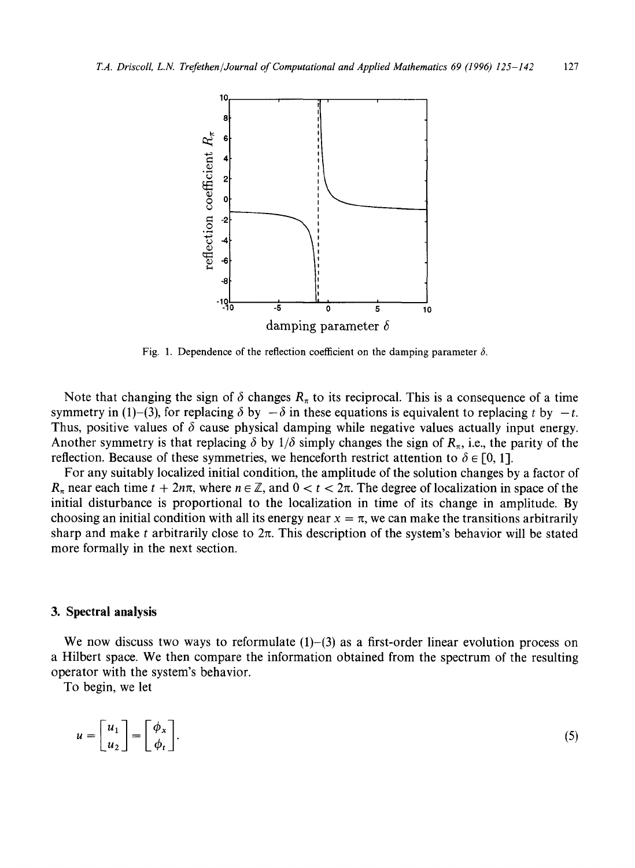

Fig. 1. Dependence of the reflection coefficient on the damping parameter  $\delta$ .

Note that changing the sign of  $\delta$  changes  $R_{\pi}$  to its reciprocal. This is a consequence of a time symmetry in (1)–(3), for replacing  $\delta$  by  $-\delta$  in these equations is equivalent to replacing t by  $-t$ . Thus, positive values of  $\delta$  cause physical damping while negative values actually input energy. Another symmetry is that replacing  $\delta$  by  $1/\delta$  simply changes the sign of  $R_{\pi}$ , i.e., the parity of the reflection. Because of these symmetries, we henceforth restrict attention to  $\delta \in [0, 1]$ .

For any suitably localized initial condition, the amplitude of the solution changes by a factor of  $R_{\pi}$  near each time  $t + 2n\pi$ , where  $n \in \mathbb{Z}$ , and  $0 < t < 2\pi$ . The degree of localization in space of the initial disturbance is proportional to the localization in time of its change in amplitude. By choosing an initial condition with all its energy near  $x = \pi$ , we can make the transitions arbitrarily sharp and make t arbitrarily close to  $2\pi$ . This description of the system's behavior will be stated more formally in the next section.

#### **3. Spectral analysis**

We now discuss two ways to reformulate  $(1)$ – $(3)$  as a first-order linear evolution process on a Hilbert space. We then compare the information obtained from the spectrum of the resulting operator with the system's behavior.

To begin, we let

$$
u = \begin{bmatrix} u_1 \\ u_2 \end{bmatrix} = \begin{bmatrix} \phi_x \\ \phi_t \end{bmatrix}.
$$
 (5)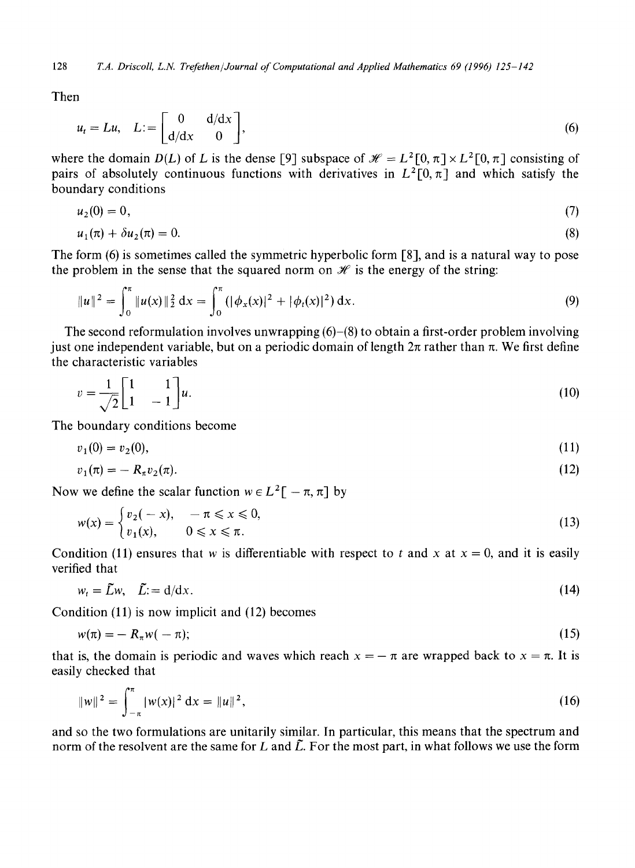128 *T.A. Driscoll, L.N. Trefethen/Journal of Computational and Applied Mathematics 69 (1996) 125-142* 

Then

$$
u_t = Lu, \quad L := \begin{bmatrix} 0 & d/dx \\ d/dx & 0 \end{bmatrix}, \tag{6}
$$

where the domain *D(L)* of L is the dense [9] subspace of  $\mathcal{H} = L^2[0, \pi] \times L^2[0, \pi]$  consisting of pairs of absolutely continuous functions with derivatives in  $L^2[0, \pi]$  and which satisfy the boundary conditions

$$
u_2(0) = 0,\t\t(7)
$$

$$
u_1(\pi) + \delta u_2(\pi) = 0. \tag{8}
$$

The form (6) is sometimes called the symmetric hyperbolic form [8], and is a natural way to pose the problem in the sense that the squared norm on  $\mathcal H$  is the energy of the string:

$$
||u||^2 = \int_0^{\pi} ||u(x)||_2^2 dx = \int_0^{\pi} (|\phi_x(x)|^2 + |\phi_t(x)|^2) dx.
$$
 (9)

The second reformulation involves unwrapping  $(6)$ – $(8)$  to obtain a first-order problem involving just one independent variable, but on a periodic domain of length  $2\pi$  rather than  $\pi$ . We first define the characteristic variables

$$
v = \frac{1}{\sqrt{2}} \begin{bmatrix} 1 & 1 \\ 1 & -1 \end{bmatrix} u. \tag{10}
$$

The boundary conditions become

$$
v_1(0) = v_2(0),\tag{11}
$$

$$
v_1(\pi) = -R_{\pi} v_2(\pi). \tag{12}
$$

Now we define the scalar function  $w \in L^2[-\pi, \pi]$  by

$$
w(x) = \begin{cases} v_2(-x), & -\pi \le x \le 0, \\ v_1(x), & 0 \le x \le \pi. \end{cases}
$$
 (13)

Condition (11) ensures that w is differentiable with respect to t and x at  $x = 0$ , and it is easily verified that

$$
w_t = \tilde{L}w, \quad \tilde{L} = d/dx. \tag{14}
$$

Condition (11) is now implicit and (12) becomes

$$
w(\pi) = -R_{\pi}w(-\pi); \tag{15}
$$

that is, the domain is periodic and waves which reach  $x = -\pi$  are wrapped back to  $x = \pi$ . It is easily checked that

$$
||w||^2 = \int_{-\pi}^{\pi} |w(x)|^2 dx = ||u||^2,
$$
 (16)

and so the two formulations are unitarily similar. In particular, this means that the spectrum and norm of the resolvent are the same for L and  $\tilde{L}$ . For the most part, in what follows we use the form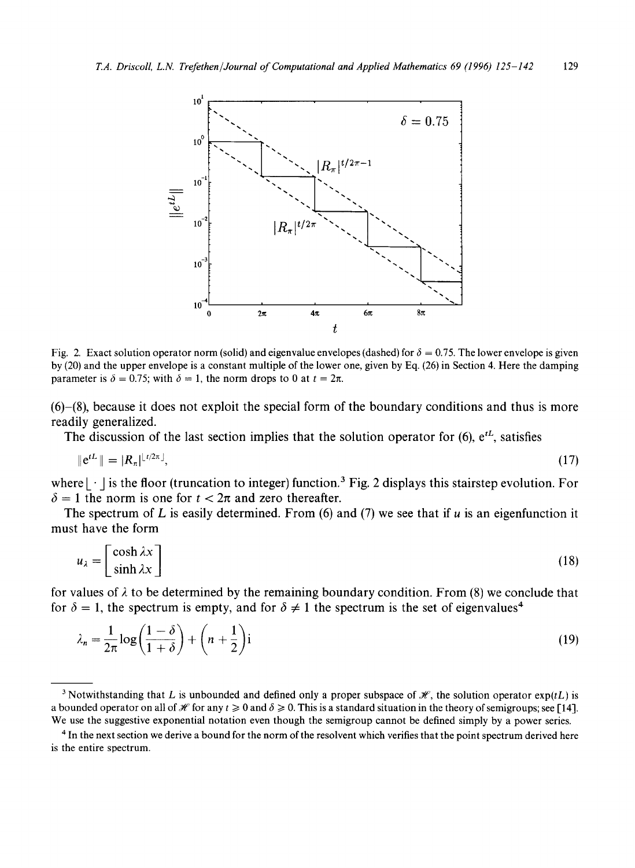

Fig. 2. Exact solution operator norm (solid) and eigenvalue envelopes (dashed) for  $\delta = 0.75$ . The lower envelope is given **by (20) and the upper envelope is a constant multiple of the lower one, given by Eq. (26) in Section 4. Here the damping parameter is**  $\delta = 0.75$ ; with  $\delta = 1$ , the norm drops to 0 at  $t = 2\pi$ .

**(6)-(8), because it does not exploit the special form of the boundary conditions and thus is more readily generalized.** 

The discussion of the last section implies that the solution operator for  $(6)$ ,  $e^{tL}$ , satisfies

$$
\|e^{tL}\| = |R_{\pi}|^{\lfloor t/2\pi \rfloor},\tag{17}
$$

where  $|\cdot|$  is the floor (truncation to integer) function.<sup>3</sup> Fig. 2 displays this stairstep evolution. For  $\delta = 1$  the norm is one for  $t < 2\pi$  and zero thereafter.

**The spectrum of L is easily determined. From (6) and (7) we see that if u is an eigenfunction it must have the form** 

$$
u_{\lambda} = \begin{bmatrix} \cosh \lambda x \\ \sinh \lambda x \end{bmatrix}
$$
 (18)

for values of  $\lambda$  to be determined by the remaining boundary condition. From (8) we conclude that for  $\delta = 1$ , the spectrum is empty, and for  $\delta \neq 1$  the spectrum is the set of eigenvalues<sup>4</sup>

$$
\lambda_n = \frac{1}{2\pi} \log \left( \frac{1-\delta}{1+\delta} \right) + \left( n + \frac{1}{2} \right) \mathbf{i}
$$
\n(19)

<sup>&</sup>lt;sup>3</sup> Notwithstanding that L is unbounded and defined only a proper subspace of  $\mathcal{H}$ , the solution operator  $exp(tL)$  is a bounded operator on all of  $\mathcal X$  for any  $t \ge 0$  and  $\delta \ge 0$ . This is a standard situation in the theory of semigroups; see [14]. **We use the suggestive exponential notation even though the semigroup cannot be defined simply by a power series.** 

**<sup>4</sup> In the next section we derive a bound for the norm of the resolvent which verifies that the point spectrum derived here is the entire spectrum.**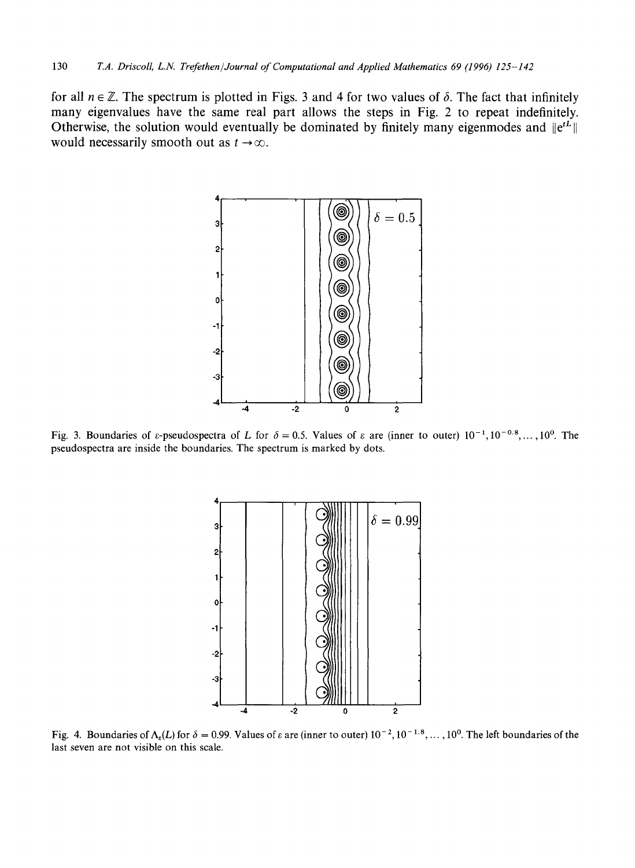for all  $n \in \mathbb{Z}$ . The spectrum is plotted in Figs. 3 and 4 for two values of  $\delta$ . The fact that infinitely many eigenvalues have the same real part allows the steps in Fig. 2 to repeat indefinitely. Otherwise, the solution would eventually be dominated by finitely many eigenmodes and  $\left\|e^{tL}\right\|$ would necessarily smooth out as  $t \to \infty$ .



Fig. 3. Boundaries of  $\varepsilon$ -pseudospectra of L for  $\delta = 0.5$ . Values of  $\varepsilon$  are (inner to outer)  $10^{-1}$ ,  $10^{-0.8}$ ,...,  $10^{0}$ . The pseudospectra are inside the boundaries. The spectrum is marked by dots.



Fig. 4. Boundaries of  $\Lambda_{\epsilon}(L)$  for  $\delta = 0.99$ . Values of  $\epsilon$  are (inner to outer)  $10^{-2}$ ,  $10^{-1.8}$ ,...,  $10^{0}$ . The left boundaries of the last seven are not visible on this scale.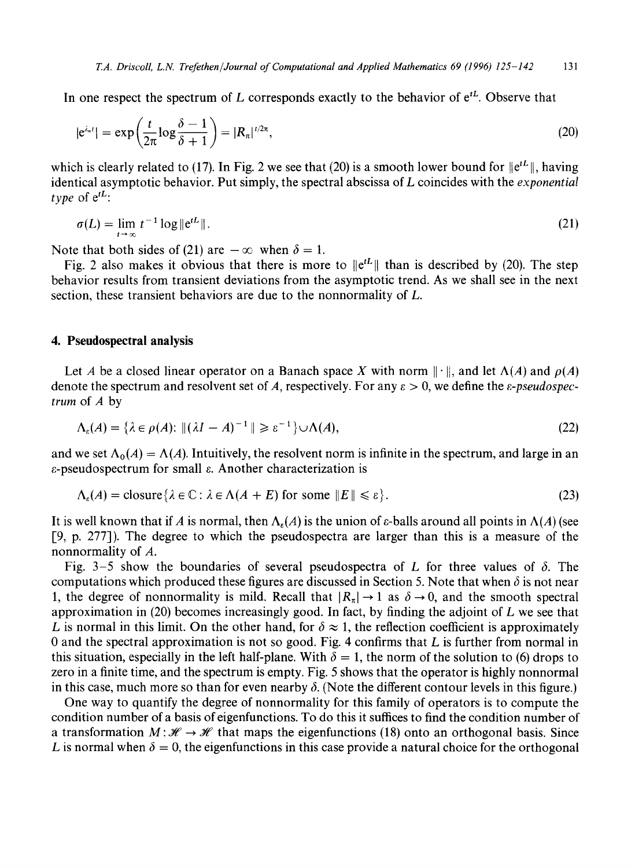In one respect the spectrum of L corresponds exactly to the behavior of  $e^{tL}$ . Observe that

$$
|e^{\lambda_n t}| = \exp\left(\frac{t}{2\pi} \log \frac{\delta - 1}{\delta + 1}\right) = |R_n|^{t/2\pi},\tag{20}
$$

which is clearly related to (17). In Fig. 2 we see that (20) is a smooth lower bound for  $\left\|\mathbf{e}^{tL}\right\|$ , having identical asymptotic behavior. Put simply, the spectral abscissa of L coincides with the *exponential type* of  $e^{tL}$ :

$$
\sigma(L) = \lim_{t \to \infty} t^{-1} \log \|e^{tL}\|.
$$
 (21)

Note that both sides of (21) are  $-\infty$  when  $\delta = 1$ .

Fig. 2 also makes it obvious that there is more to  $\Vert e^{tL} \Vert$  than is described by (20). The step behavior results from transient deviations from the asymptotic trend. As we shall see in the next section, these transient behaviors are due to the nonnormality of L.

### **4. Pseudospectral analysis**

Let A be a closed linear operator on a Banach space X with norm  $\|\cdot\|$ , and let  $\Lambda(A)$  and  $\rho(A)$ denote the spectrum and resolvent set of A, respectively. For any  $\varepsilon > 0$ , we define the  $\varepsilon$ -*pseudospectrum* of A by

$$
\Lambda_{\varepsilon}(A) = \{ \lambda \in \rho(A) : \| (\lambda I - A)^{-1} \| \geqslant \varepsilon^{-1} \} \cup \Lambda(A), \tag{22}
$$

and we set  $\Lambda_0(A) = \Lambda(A)$ . Intuitively, the resolvent norm is infinite in the spectrum, and large in an  $\varepsilon$ -pseudospectrum for small  $\varepsilon$ . Another characterization is

$$
\Lambda_{\varepsilon}(A) = \text{closure}\{\lambda \in \mathbb{C} : \lambda \in \Lambda(A + E) \text{ for some } ||E|| \leq \varepsilon\}. \tag{23}
$$

It is well known that if A is normal, then  $\Lambda_{\epsilon}(A)$  is the union of  $\epsilon$ -balls around all points in  $\Lambda(A)$  (see [9, p. 277]). The degree to which the pseudospectra are larger than this is a measure of the nonnormality of A.

Fig. 3-5 show the boundaries of several pseudospectra of L for three values of  $\delta$ . The computations which produced these figures are discussed in Section 5. Note that when  $\delta$  is not near 1, the degree of nonnormality is mild. Recall that  $|R_{\pi}| \rightarrow 1$  as  $\delta \rightarrow 0$ , and the smooth spectral approximation in  $(20)$  becomes increasingly good. In fact, by finding the adjoint of L we see that L is normal in this limit. On the other hand, for  $\delta \approx 1$ , the reflection coefficient is approximately 0 and the spectral approximation is not so good. Fig. 4 confirms that  $L$  is further from normal in this situation, especially in the left half-plane. With  $\delta = 1$ , the norm of the solution to (6) drops to zero in a finite time, and the spectrum is empty. Fig. 5 shows that the operator is highly nonnormal in this case, much more so than for even nearby  $\delta$ . (Note the different contour levels in this figure.)

One way to quantify the degree of nonnormality for this family of operators is to compute the condition number of a basis of eigenfunctions. To do this it suffices to find the condition number of a transformation  $M: \mathcal{H} \to \mathcal{H}$  that maps the eigenfunctions (18) onto an orthogonal basis. Since L is normal when  $\delta = 0$ , the eigenfunctions in this case provide a natural choice for the orthogonal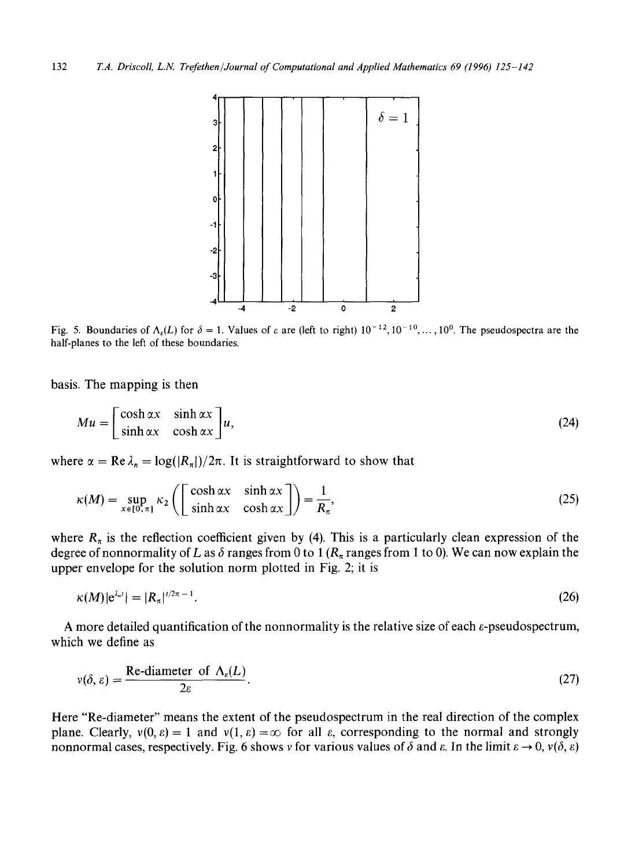

Fig. 5. Boundaries of  $\Lambda_{\varepsilon}(L)$  for  $\delta = 1$ . Values of  $\varepsilon$  are (left to right)  $10^{-12}$ ,  $10^{-10}$ , ...,  $10^{0}$ . The pseudospectra are the half-planes to the left of these boundaries.

basis. The mapping is then

$$
Mu = \begin{bmatrix} \cosh \alpha x & \sinh \alpha x \\ \sinh \alpha x & \cosh \alpha x \end{bmatrix} u,
$$
 (24)

where  $\alpha = \text{Re }\lambda_n = \log(|R_\pi|)/2\pi$ . It is straightforward to show that

$$
\kappa(M) = \sup_{x \in [0, \pi]} \kappa_2 \left( \begin{bmatrix} \cosh \alpha x & \sinh \alpha x \\ \sinh \alpha x & \cosh \alpha x \end{bmatrix} \right) = \frac{1}{R_\pi},\tag{25}
$$

where  $R_{\pi}$  is the reflection coefficient given by (4). This is a particularly clean expression of the degree of nonnormality of L as  $\delta$  ranges from 0 to 1 ( $R_\pi$  ranges from 1 to 0). We can now explain the upper envelope for the solution norm plotted in Fig. 2; it is

$$
\kappa(M)|e^{\lambda_n t}| = |R_n|^{t/2\pi - 1}.\tag{26}
$$

A more detailed quantification of the nonnormality is the relative size of each  $\varepsilon$ -pseudospectrum, which we define as

$$
v(\delta, \varepsilon) = \frac{\text{Re-diameter of } \Lambda_{\varepsilon}(L)}{2\varepsilon}.
$$
 (27)

Here "Re-diameter" means the extent of the pseudospectrum in the real direction of the complex plane. Clearly,  $v(0, \varepsilon) = 1$  and  $v(1, \varepsilon) = \infty$  for all  $\varepsilon$ , corresponding to the normal and strongly nonnormal cases, respectively. Fig. 6 shows v for various values of  $\delta$  and  $\varepsilon$ . In the limit  $\varepsilon \to 0$ ,  $v(\delta, \varepsilon)$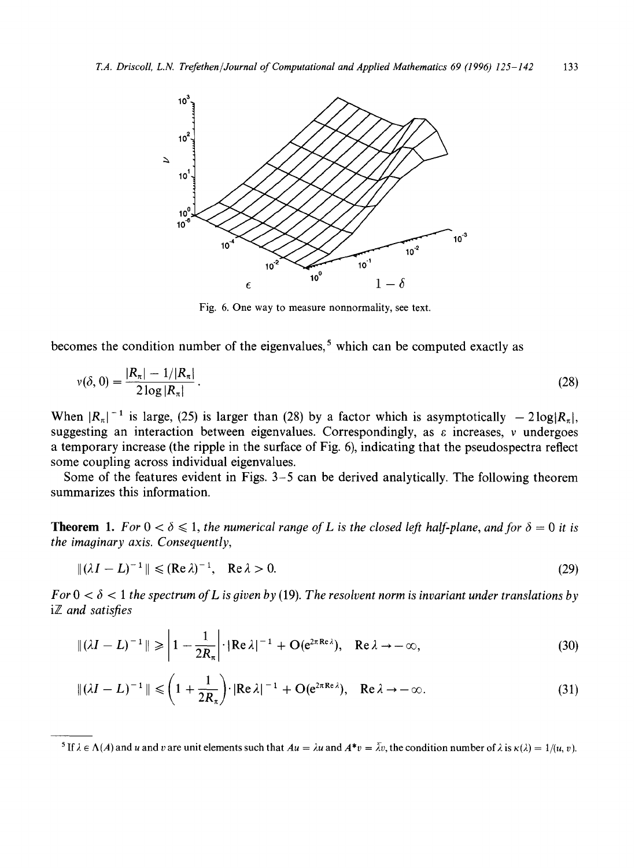

Fig. 6. One way to measure nonnormality, see text.

becomes the condition number of the eigenvalues,<sup>5</sup> which can be computed exactly as

$$
v(\delta, 0) = \frac{|R_{\pi}| - 1/|R_{\pi}|}{2 \log |R_{\pi}|}. \tag{28}
$$

When  $|R_{\pi}|^{-1}$  is large, (25) is larger than (28) by a factor which is asymptotically  $-2\log|R_{\pi}|$ , suggesting an interaction between eigenvalues. Correspondingly, as  $\varepsilon$  increases, v undergoes a temporary increase (the ripple in the surface of Fig. 6), indicating that the pseudospectra reflect some coupling across individual eigenvalues.

Some of the features evident in Figs. 3-5 can be derived analytically. The following theorem summarizes this information.

**Theorem 1.** For  $0 < \delta \le 1$ , the numerical range of L is the closed left half-plane, and for  $\delta = 0$  it is *the imaginary axis. Consequently,* 

$$
\|(\lambda I - L)^{-1}\| \le (\operatorname{Re}\lambda)^{-1}, \quad \operatorname{Re}\lambda > 0. \tag{29}
$$

 $For 0 < \delta < 1$  the spectrum of L is given by (19). The resolvent norm is invariant under translations by iZ *and satisfies* 

$$
\|(\lambda I - L)^{-1}\| \geqslant \left|1 - \frac{1}{2R_{\pi}}\right| \cdot |\text{Re}\,\lambda|^{-1} + O(e^{2\pi \text{Re}\,\lambda}), \quad \text{Re}\,\lambda \to -\infty,
$$
\n(30)

$$
\|(\lambda I - L)^{-1}\| \leqslant \left(1 + \frac{1}{2R_{\pi}}\right) \cdot |\text{Re}\,\lambda|^{-1} + \text{O}(e^{2\pi \text{Re}\,\lambda}), \quad \text{Re}\,\lambda \to -\infty. \tag{31}
$$

<sup>&</sup>lt;sup>5</sup> If  $\lambda \in \Lambda(A)$  and u and v are unit elements such that  $Au = \lambda u$  and  $A^*v = \overline{\lambda}v$ , the condition number of  $\lambda$  is  $\kappa(\lambda) = 1/(u, v)$ .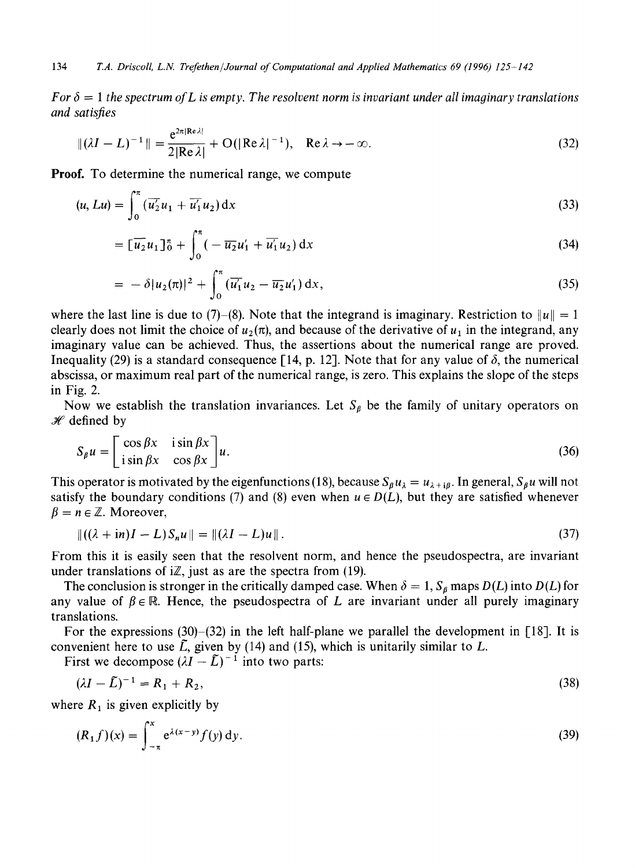*For*  $\delta = 1$  the spectrum of L is empty. The resolvent norm is invariant under all imaginary translations *and satisfies* 

$$
\|(\lambda I - L)^{-1}\| = \frac{e^{2\pi |\text{Re }\lambda|}}{2|\text{Re }\lambda|} + O(|\text{Re }\lambda|^{-1}), \quad \text{Re }\lambda \to -\infty.
$$
 (32)

Proof. To determine the numerical range, we compute

$$
(u, Lu) = \int_0^{\pi} \left(\overline{u_2'}u_1 + \overline{u_1'}u_2\right) dx\tag{33}
$$

$$
= \left[\overline{u_2}u_1\right]_0^\pi + \int_0^\pi \left(-\overline{u_2}u_1' + \overline{u_1'}u_2\right)dx\tag{34}
$$

$$
= -\delta |u_2(\pi)|^2 + \int_0^{\pi} (\overline{u_1'}u_2 - \overline{u_2}u_1') dx,
$$
\n(35)

where the last line is due to (7)–(8). Note that the integrand is imaginary. Restriction to  $||u|| = 1$ clearly does not limit the choice of  $u_2(\pi)$ , and because of the derivative of  $u_1$  in the integrand, any imaginary value can be achieved. Thus, the assertions about the numerical range are proved. Inequality (29) is a standard consequence [14, p. 12]. Note that for any value of  $\delta$ , the numerical abscissa, or maximum real part of the numerical range, is zero. This explains the slope of the steps in Fig. 2.

Now we establish the translation invariances. Let  $S_{\beta}$  be the family of unitary operators on  $H$  defined by

$$
S_{\beta}u = \begin{bmatrix} \cos \beta x & i \sin \beta x \\ i \sin \beta x & \cos \beta x \end{bmatrix} u. \tag{36}
$$

This operator is motivated by the eigenfunctions (18), because  $S_\beta u_\lambda = u_{\lambda + i\beta}$ . In general,  $S_\beta u$  will not satisfy the boundary conditions (7) and (8) even when  $u \in D(L)$ , but they are satisfied whenever  $\beta = n \in \mathbb{Z}$ . Moreover,

$$
\|((\lambda + \mathrm{i} n)I - L)S_n u\| = \|(\lambda I - L)u\|.\tag{37}
$$

From this it is easily seen that the resolvent norm, and hence the pseudospectra, are invariant under translations of  $i\mathbb{Z}$ , just as are the spectra from (19).

The conclusion is stronger in the critically damped case. When  $\delta = 1$ ,  $S_{\beta}$  maps  $D(L)$  into  $D(L)$  for any value of  $\beta \in \mathbb{R}$ . Hence, the pseudospectra of L are invariant under all purely imaginary translations.

For the expressions (30)–(32) in the left half-plane we parallel the development in [18]. It is convenient here to use  $\tilde{L}$ , given by (14) and (15), which is unitarily similar to  $L$ .

First we decompose  $(\lambda I - \tilde{L})^{-1}$  into two parts:

$$
(\lambda I - \tilde{L})^{-1} = R_1 + R_2, \tag{38}
$$

where  $R_1$  is given explicitly by

$$
(R_1 f)(x) = \int_{-\pi}^{x} e^{\lambda(x-y)} f(y) \, dy.
$$
 (39)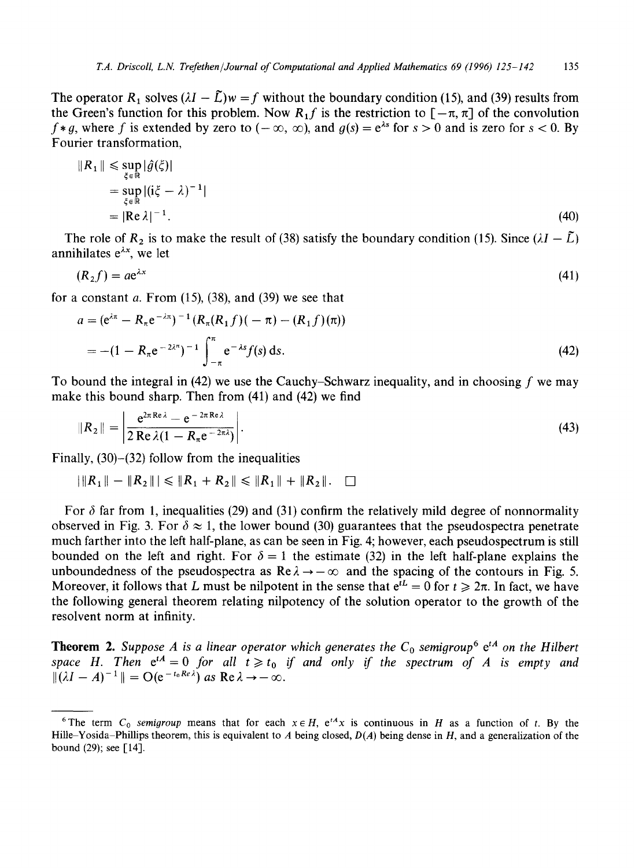The operator R<sub>1</sub> solves  $(\lambda I - \tilde{L})w = f$  without the boundary condition (15), and (39) results from the Green's function for this problem. Now  $R_1 f$  is the restriction to  $[-\pi, \pi]$  of the convolution  $f*g$ , where f is extended by zero to  $(-\infty, \infty)$ , and  $g(s) = e^{\lambda s}$  for  $s > 0$  and is zero for  $s < 0$ . By Fourier transformation,

$$
||R_1|| \leq \sup_{\xi \in \mathbb{R}} |\hat{g}(\xi)|
$$
  
= 
$$
\sup_{\xi \in \mathbb{R}} |(i\xi - \lambda)^{-1}|
$$
  
= 
$$
|Re \lambda|^{-1}.
$$
 (40)

The role of  $R_2$  is to make the result of (38) satisfy the boundary condition (15). Since  $(\lambda I - \tilde{L})$ annihilates  $e^{\lambda x}$ , we let

$$
(R_2 f) = a e^{\lambda x} \tag{41}
$$

for a constant  $a$ . From (15), (38), and (39) we see that

$$
a = (e^{\lambda \pi} - R_{\pi} e^{-\lambda \pi})^{-1} (R_{\pi}(R_1 f)(-\pi) - (R_1 f)(\pi))
$$
  
= -(1 - R\_{\pi} e^{-2\lambda \pi})^{-1} \int\_{-\pi}^{\pi} e^{-\lambda s} f(s) ds. (42)

To bound the integral in (42) we use the Cauchy–Schwarz inequality, and in choosing f we may make this bound sharp. Then from (41) and (42) we find

$$
||R_2|| = \left| \frac{e^{2\pi \text{Re}\lambda} - e^{-2\pi \text{Re}\lambda}}{2\text{Re}\lambda (1 - R_{\pi} e^{-2\pi\lambda})} \right|.
$$
\n(43)

Finally, (30)-(32) follow from the inequalities

$$
|\|R_1\|-\|R_2\|| \leq \|R_1+R_2\|\leq \|R_1\|+\|R_2\|.\quad \Box
$$

For  $\delta$  far from 1, inequalities (29) and (31) confirm the relatively mild degree of nonnormality observed in Fig. 3. For  $\delta \approx 1$ , the lower bound (30) guarantees that the pseudospectra penetrate much farther into the left half-plane, as can be seen in Fig, 4; however, each pseudospectrum is still bounded on the left and right. For  $\delta = 1$  the estimate (32) in the left half-plane explains the unboundedness of the pseudospectra as  $\text{Re}\lambda \rightarrow -\infty$  and the spacing of the contours in Fig. 5. Moreover, it follows that L must be nilpotent in the sense that  $e^{tL} = 0$  for  $t \ge 2\pi$ . In fact, we have the following general theorem relating nilpotency of the solution operator to the growth of the resolvent norm at infinity.

**Theorem 2.** Suppose A is a linear operator which generates the  $C_0$  semigroup<sup>6</sup> e<sup>tA</sup> on the Hilbert *space H.* Then  $e^{tA}= 0$  *for all t*  $\ge t_0$  *if and only if the spectrum of A is empty and*  $\| (\lambda I - A)^{-1} \| = O(e^{-t_0 Re \lambda})$  as  $Re \lambda \rightarrow -\infty$ .

<sup>&</sup>lt;sup>6</sup>The term  $C_0$  *semigroup* means that for each  $x \in H$ ,  $e^{tA}x$  is continuous in H as a function of t. By the Hille-Yosida-Phillips theorem, this is equivalent to A being closed, *D(A)* being dense in H, and a generalization of the bound (29); see [14].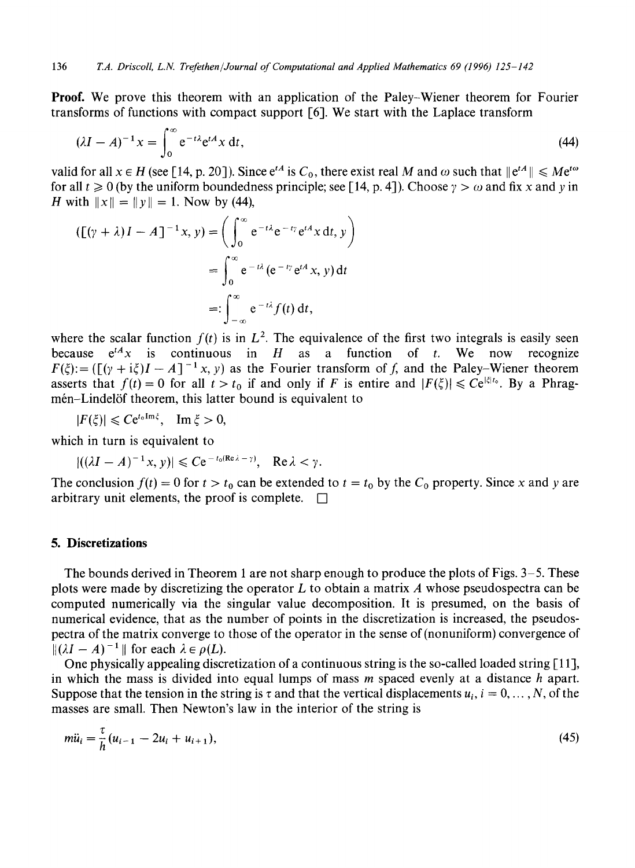Proof. We prove this theorem with an application of the Paley-Wiener theorem for Fourier transforms of functions with compact support [6]. We start with the Laplace transform

$$
(\lambda I - A)^{-1}x = \int_0^\infty e^{-t\lambda} e^{tA} x \, dt,\tag{44}
$$

valid for all  $x \in H$  (see [14, p. 20]). Since  $e^{tA}$  is  $C_0$ , there exist real M and  $\omega$  such that  $||e^{tA}|| \le Me^{t\omega}$ for all  $t \ge 0$  (by the uniform boundedness principle; see [14, p. 4]). Choose  $\gamma > \omega$  and fix x and y in *H* with  $||x|| = ||y|| = 1$ . Now by (44),

$$
(\lbrack (\gamma + \lambda)I - A \rbrack^{-1} x, y) = \left( \int_0^\infty e^{-t\lambda} e^{-t\gamma} e^{tA} x \, dt, y \right)
$$

$$
= \int_0^\infty e^{-t\lambda} (e^{-t\gamma} e^{tA} x, y) \, dt
$$

$$
=: \int_{-\infty}^\infty e^{-t\lambda} f(t) \, dt,
$$

where the scalar function  $f(t)$  is in  $L^2$ . The equivalence of the first two integrals is easily seen because  $e^{tA}x$  is continuous in H as a function of t. We now recognize  $F(\xi) := \left(\left[\frac{\gamma + i\xi}{I} - A\right]^{-1}x, y\right)$  as the Fourier transform of f, and the Paley-Wiener theorem asserts that  $f(t) = 0$  for all  $t > t_0$  if and only if F is entire and  $|F(\xi)| \leq C e^{|\xi|t_0}$ . By a Phragmén-Lindelöf theorem, this latter bound is equivalent to

 $|F(\xi)| \leqslant Ce^{t_0 \operatorname{Im} \xi}$ ,  $\operatorname{Im} \xi > 0$ ,

which in turn is equivalent to

$$
|((\lambda I - A)^{-1}x, y)| \leq C e^{-t_0 (\text{Re }\lambda - y)}, \quad \text{Re }\lambda < y.
$$

The conclusion  $f(t) = 0$  for  $t > t_0$  can be extended to  $t = t_0$  by the  $C_0$  property. Since x and y are arbitrary unit elements, the proof is complete.  $\Box$ 

## **5. Discretizations**

The bounds derived in Theorem 1 are not sharp enough to produce the plots of Figs. 3-5. These plots were made by discretizing the operator  $L$  to obtain a matrix  $\Lambda$  whose pseudospectra can be computed numerically via the singular value decomposition. It is presumed, on the basis of numerical evidence, that as the number of points in the discretization is increased, the pseudospectra of the matrix converge to those of the operator in the sense of (nonuniform) convergence of  $\| (\lambda I - A)^{-1} \|$  for each  $\lambda \in \rho(L)$ .

One physically appealing discretization of a continuous string is the so-called loaded string [11], in which the mass is divided into equal lumps of mass  $m$  spaced evenly at a distance  $h$  apart. Suppose that the tension in the string is  $\tau$  and that the vertical displacements  $u_i$ ,  $i = 0, ..., N$ , of the masses are small. Then Newton's law in the interior of the string is

$$
m\ddot{u}_i = \frac{\tau}{h}(u_{i-1} - 2u_i + u_{i+1}),
$$
\n(45)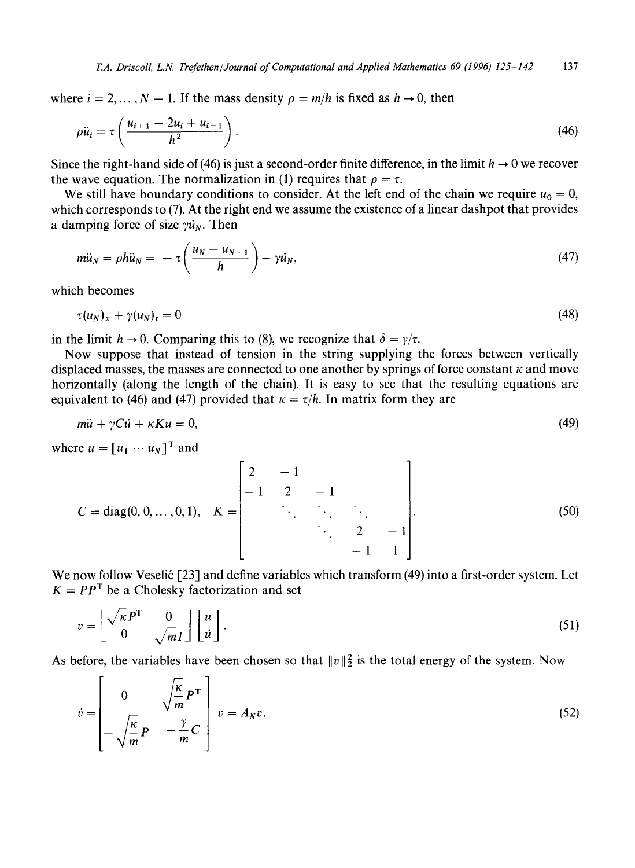where  $i = 2, ..., N - 1$ . If the mass density  $\rho = m/h$  is fixed as  $h \to 0$ , then

$$
\rho \ddot{u}_i = \tau \left( \frac{u_{i+1} - 2u_i + u_{i-1}}{h^2} \right). \tag{46}
$$

Since the right-hand side of (46) is just a second-order finite difference, in the limit  $h \to 0$  we recover the wave equation. The normalization in (1) requires that  $\rho = \tau$ .

We still have boundary conditions to consider. At the left end of the chain we require  $u_0 = 0$ , which corresponds to (7). At the right end we assume the existence of a linear dashpot that provides a damping force of size  $\gamma u_N$ . Then

$$
m\ddot{u}_N = \rho h\ddot{u}_N = -\tau \left(\frac{u_N - u_{N-1}}{h}\right) - \gamma \dot{u}_N, \qquad (47)
$$

which becomes

$$
\tau(u_N)_x + \gamma(u_N)_t = 0 \tag{48}
$$

in the limit  $h \to 0$ . Comparing this to (8), we recognize that  $\delta = \gamma/\tau$ .

Now suppose that instead of tension in the string supplying the forces between vertically displaced masses, the masses are connected to one another by springs of force constant  $\kappa$  and move horizontally (along the length of the chain). It is easy to see that the resulting equations are equivalent to (46) and (47) provided that  $\kappa = \tau/h$ . In matrix form they are

$$
m\ddot{u} + \gamma C \dot{u} + \kappa K u = 0,\tag{49}
$$

where  $u = [u_1 \cdots u_N]^T$  and

$$
C = diag(0, 0, ..., 0, 1), \quad K = \begin{bmatrix} 2 & -1 & & & \\ -1 & 2 & -1 & & \\ & \ddots & \ddots & \ddots & \\ & & \ddots & 2 & -1 \\ & & & -1 & 1 \end{bmatrix}.
$$
 (50)

We now follow Veselić [23] and define variables which transform (49) into a first-order system. Let  $K = PP^{T}$  be a Cholesky factorization and set

$$
v = \begin{bmatrix} \sqrt{\kappa} P^{\mathrm{T}} & 0 \\ 0 & \sqrt{m} I \end{bmatrix} \begin{bmatrix} u \\ \dot{u} \end{bmatrix} . \tag{51}
$$

As before, the variables have been chosen so that  $||v||_2^2$  is the total energy of the system. Now

$$
\dot{v} = \begin{bmatrix} 0 & \sqrt{\frac{\kappa}{m}} P^{\mathrm{T}} \\ -\sqrt{\frac{\kappa}{m}} P & -\frac{\gamma}{m} C \end{bmatrix} v = A_N v. \tag{52}
$$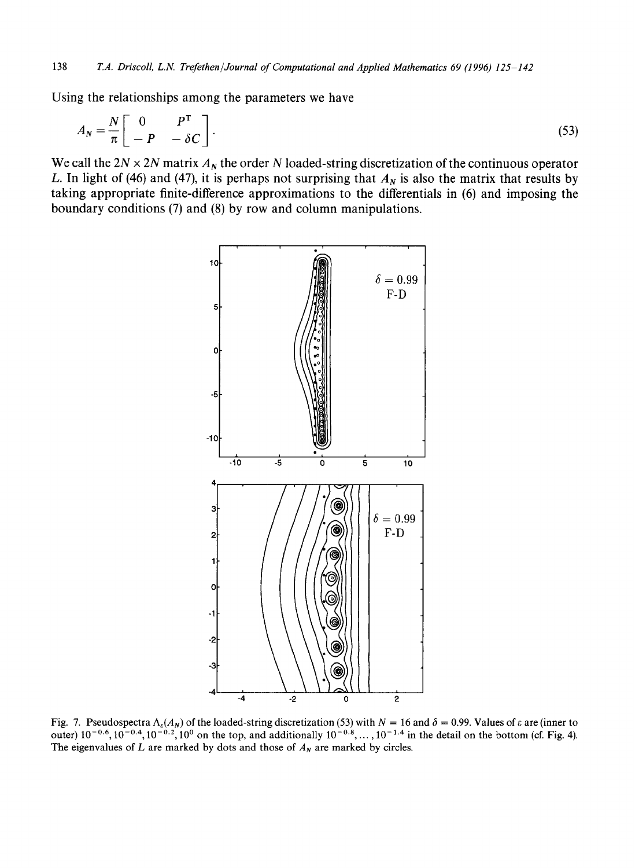Using the relationships among the parameters we have

$$
A_N = \frac{N}{\pi} \begin{bmatrix} 0 & P^{\mathrm{T}} \\ -P & -\delta C \end{bmatrix}.
$$
 (53)

We call the  $2N \times 2N$  matrix  $A_N$  the order N loaded-string discretization of the continuous operator L. In light of (46) and (47), it is perhaps not surprising that  $A<sub>N</sub>$  is also the matrix that results by taking appropriate finite-difference approximations to the differentials in (6) and imposing the boundary conditions (7) and (8) by row and column manipulations.



Fig. 7. Pseudospectra  $\Lambda_{\epsilon}(A_N)$  of the loaded-string discretization (53) with  $N = 16$  and  $\delta = 0.99$ . Values of  $\epsilon$  are (inner to outer)  $10^{-0.6}$ ,  $10^{-0.4}$ ,  $10^{-0.2}$ ,  $10^{0}$  on the top, and additionally  $10^{-0.8}$ , ...,  $10^{-1.4}$  in the detail on the bottom (cf. Fig. 4). The eigenvalues of  $L$  are marked by dots and those of  $A_N$  are marked by circles.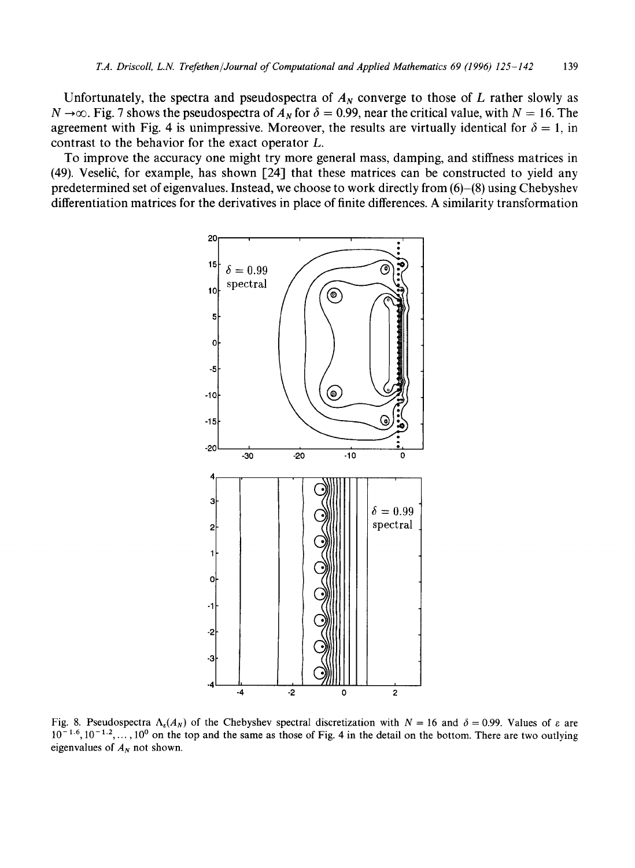Unfortunately, the spectra and pseudospectra of  $A<sub>N</sub>$  converge to those of L rather slowly as  $N \rightarrow \infty$ . Fig. 7 shows the pseudospectra of  $A_N$  for  $\delta = 0.99$ , near the critical value, with  $N = 16$ . The agreement with Fig. 4 is unimpressive. Moreover, the results are virtually identical for  $\delta = 1$ , in contrast to the behavior for the exact operator L.

To improve the accuracy one might try more general mass, damping, and stiffness matrices in  $(49)$ . Veselić, for example, has shown [24] that these matrices can be constructed to yield any predetermined set of eigenvalues. Instead, we choose to work directly from (6)-(8) using Chebyshev differentiation matrices for the derivatives in place of finite differences. A similarity transformation



Fig. 8. Pseudospectra  $\Lambda_{\epsilon}(A_N)$  of the Chebyshev spectral discretization with  $N = 16$  and  $\delta = 0.99$ . Values of  $\epsilon$  are  $10^{-1.6}$ ,  $10^{-1.2}$ ,...,  $10^{0}$  on the top and the same as those of Fig. 4 in the detail on the bottom. There are two outlying eigenvalues of  $A_N$  not shown.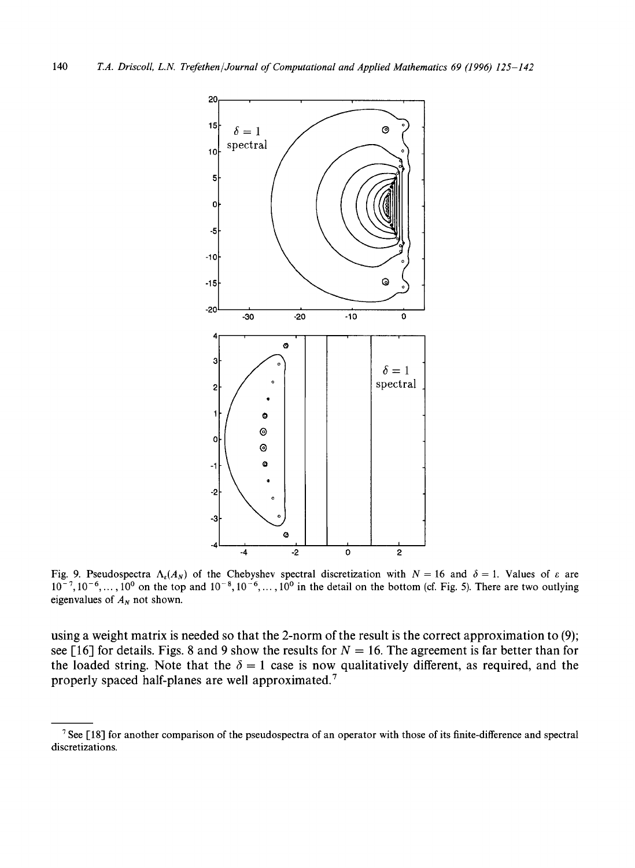

Fig. 9. Pseudospectra  $\Lambda_{\epsilon}(A_N)$  of the Chebyshev spectral discretization with  $N = 16$  and  $\delta = 1$ . Values of  $\epsilon$  are  $10^{-7}$ ,  $10^{-6}$ , ...,  $10^{0}$  on the top and  $10^{-8}$ ,  $10^{-6}$ , ...,  $10^{0}$  in the detail on the bottom (cf. Fig. 5). There are two outlying eigenvalues of  $A_N$  not shown.

using a weight matrix is needed so that the 2-norm of the result is the correct approximation to (9); see [16] for details. Figs. 8 and 9 show the results for  $N = 16$ . The agreement is far better than for the loaded string. Note that the  $\delta = 1$  case is now qualitatively different, as required, and the properly spaced half-planes are well approximated. 7

 $7$  See [18] for another comparison of the pseudospectra of an operator with those of its finite-difference and spectral discretizations.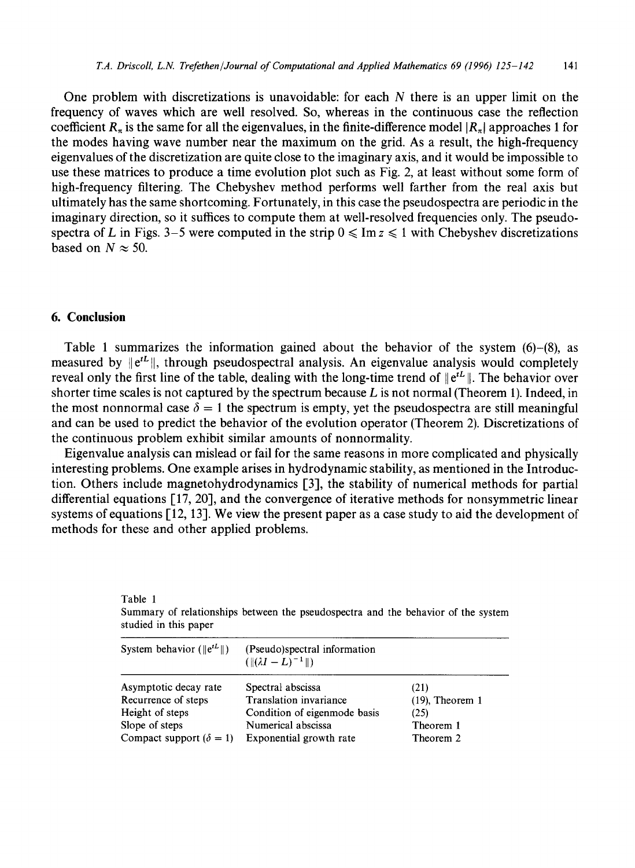One problem with discretizations is unavoidable: for each  $N$  there is an upper limit on the frequency of waves which are well resolved. So, whereas in the continuous case the reflection coefficient  $R_{\pi}$  is the same for all the eigenvalues, in the finite-difference model  $|R_{\pi}|$  approaches 1 for the modes having wave number near the maximum on the grid. As a result, the high-frequency eigenvalues of the discretization are quite close to the imaginary axis, and it would be impossible to use these matrices to produce a time evolution plot such as Fig. 2, at least without some form of high-frequency filtering. The Chebyshev method performs well farther from the real axis but ultimately has the same shortcoming. Fortunately, in this case the pseudospectra are periodic in the imaginary direction, so it suffices to compute them at well-resolved frequencies only. The pseudospectra of L in Figs. 3–5 were computed in the strip  $0 \leq \text{Im } z \leq 1$  with Chebyshev discretizations based on  $N \approx 50$ .

## **6. Conclusion**

Table 1

Table 1 summarizes the information gained about the behavior of the system (6)-(8), as measured by  $\Vert e^{tL} \Vert$ , through pseudospectral analysis. An eigenvalue analysis would completely reveal only the first line of the table, dealing with the long-time trend of  $\left\|\mathbf{e}^{tL}\right\|$ . The behavior over shorter time scales is not captured by the spectrum because  $L$  is not normal (Theorem 1). Indeed, in the most nonnormal case  $\delta = 1$  the spectrum is empty, yet the pseudospectra are still meaningful and can be used to predict the behavior of the evolution operator (Theorem 2). Discretizations of the continuous problem exhibit similar amounts of nonnormality.

Eigenvalue analysis can mislead or fail for the same reasons in more complicated and physically interesting problems. One example arises in hydrodynamic stability, as mentioned in the Introduction. Others include magnetohydrodynamics [3], the stability of numerical methods for partial differential equations [17, 20], and the convergence of iterative methods for nonsymmetric linear systems of equations [12, 13]. We view the present paper as a case study to aid the development of methods for these and other applied problems.

| studied in this paper            |                                                              |                    |
|----------------------------------|--------------------------------------------------------------|--------------------|
| System behavior ( $  e^{tL}  $ ) | (Pseudo)spectral information<br>$(\ (\lambda I - L)^{-1}\ )$ |                    |
| Asymptotic decay rate            | Spectral abscissa                                            | (21)               |
| Recurrence of steps              | <b>Translation</b> invariance                                | $(19)$ , Theorem 1 |
| Height of steps                  | Condition of eigenmode basis                                 | (25)               |
| Slope of steps                   | Numerical abscissa                                           | Theorem 1          |
| Compact support $(\delta = 1)$   | Exponential growth rate                                      | Theorem 2          |

Summary of relationships between the pseudospectra and the behavior of the system